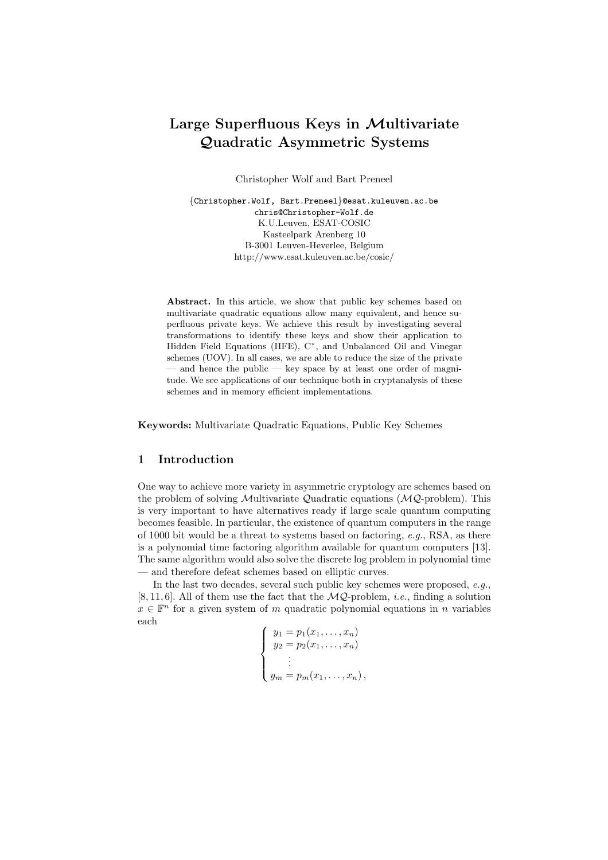# Large Superfluous Keys in Multivariate Quadratic Asymmetric Systems

Christopher Wolf and Bart Preneel

{Christopher.Wolf, Bart.Preneel}@esat.kuleuven.ac.be chris@Christopher-Wolf.de K.U.Leuven, ESAT-COSIC Kasteelpark Arenberg 10 B-3001 Leuven-Heverlee, Belgium http://www.esat.kuleuven.ac.be/cosic/

Abstract. In this article, we show that public key schemes based on multivariate quadratic equations allow many equivalent, and hence superfluous private keys. We achieve this result by investigating several transformations to identify these keys and show their application to Hidden Field Equations (HFE), C<sup>\*</sup>, and Unbalanced Oil and Vinegar schemes (UOV). In all cases, we are able to reduce the size of the private — and hence the public — key space by at least one order of magnitude. We see applications of our technique both in cryptanalysis of these schemes and in memory efficient implementations.

Keywords: Multivariate Quadratic Equations, Public Key Schemes

## 1 Introduction

One way to achieve more variety in asymmetric cryptology are schemes based on the problem of solving Multivariate Quadratic equations  $(MQ$ -problem). This is very important to have alternatives ready if large scale quantum computing becomes feasible. In particular, the existence of quantum computers in the range of 1000 bit would be a threat to systems based on factoring,  $e.g.,$  RSA, as there is a polynomial time factoring algorithm available for quantum computers [13]. The same algorithm would also solve the discrete log problem in polynomial time — and therefore defeat schemes based on elliptic curves.

In the last two decades, several such public key schemes were proposed, e.g., [8, 11, 6]. All of them use the fact that the  $MQ$ -problem, *i.e.*, finding a solution  $x \in \mathbb{F}^n$  for a given system of m quadratic polynomial equations in n variables each

$$
\begin{cases}\ny_1 = p_1(x_1, ..., x_n) \\
y_2 = p_2(x_1, ..., x_n) \\
\vdots \\
y_m = p_m(x_1, ..., x_n),\n\end{cases}
$$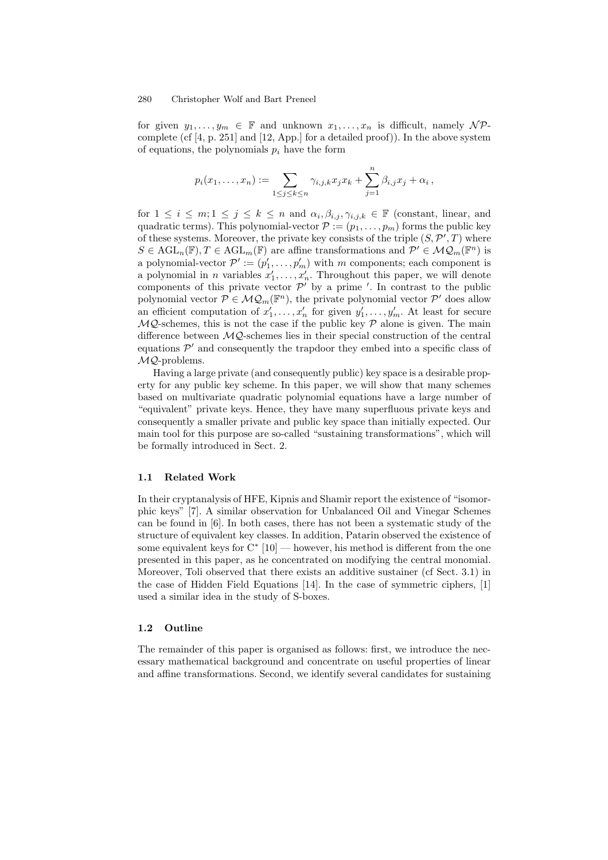for given  $y_1, \ldots, y_m \in \mathbb{F}$  and unknown  $x_1, \ldots, x_n$  is difficult, namely  $\mathcal{NP}$ complete (cf [4, p. 251] and [12, App.] for a detailed proof)). In the above system of equations, the polynomials  $p_i$  have the form

$$
p_i(x_1,...,x_n) := \sum_{1 \leq j \leq k \leq n} \gamma_{i,j,k} x_j x_k + \sum_{j=1}^n \beta_{i,j} x_j + \alpha_i,
$$

for  $1 \leq i \leq m; 1 \leq j \leq k \leq n$  and  $\alpha_i, \beta_{i,j}, \gamma_{i,j,k} \in \mathbb{F}$  (constant, linear, and quadratic terms). This polynomial-vector  $P := (p_1, \ldots, p_m)$  forms the public key of these systems. Moreover, the private key consists of the triple  $(S, \mathcal{P}', T)$  where  $S \in \text{AGL}_{n}(\mathbb{F}), T \in \text{AGL}_{m}(\mathbb{F})$  are affine transformations and  $\mathcal{P}' \in \mathcal{MQ}_m(\mathbb{F}^n)$  is a polynomial-vector  $\mathcal{P}' := (p'_1, \ldots, p'_m)$  with m components; each component is a polynomial in *n* variables  $x'_1, \ldots, x'_n$ . Throughout this paper, we will denote components of this private vector  $\mathcal{P}'$  by a prime '. In contrast to the public polynomial vector  $P \in \mathcal{MQ}_m(\mathbb{F}^n)$ , the private polynomial vector  $P'$  does allow an efficient computation of  $x'_1, \ldots, x'_n$  for given  $y'_1, \ldots, y'_m$ . At least for secure  $MQ$ -schemes, this is not the case if the public key  $P$  alone is given. The main difference between  $MQ$ -schemes lies in their special construction of the central equations  $\mathcal{P}'$  and consequently the trapdoor they embed into a specific class of MQ-problems.

Having a large private (and consequently public) key space is a desirable property for any public key scheme. In this paper, we will show that many schemes based on multivariate quadratic polynomial equations have a large number of "equivalent" private keys. Hence, they have many superfluous private keys and consequently a smaller private and public key space than initially expected. Our main tool for this purpose are so-called "sustaining transformations", which will be formally introduced in Sect. 2.

## 1.1 Related Work

In their cryptanalysis of HFE, Kipnis and Shamir report the existence of "isomorphic keys" [7]. A similar observation for Unbalanced Oil and Vinegar Schemes can be found in [6]. In both cases, there has not been a systematic study of the structure of equivalent key classes. In addition, Patarin observed the existence of some equivalent keys for  $C^*$  [10] — however, his method is different from the one presented in this paper, as he concentrated on modifying the central monomial. Moreover, Toli observed that there exists an additive sustainer (cf Sect. 3.1) in the case of Hidden Field Equations [14]. In the case of symmetric ciphers, [1] used a similar idea in the study of S-boxes.

#### 1.2 Outline

The remainder of this paper is organised as follows: first, we introduce the necessary mathematical background and concentrate on useful properties of linear and affine transformations. Second, we identify several candidates for sustaining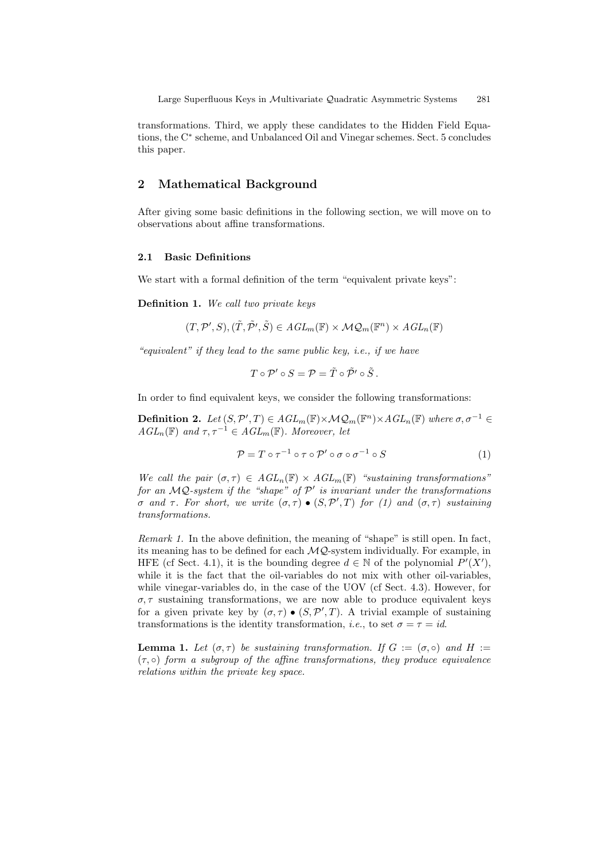transformations. Third, we apply these candidates to the Hidden Field Equations, the C ∗ scheme, and Unbalanced Oil and Vinegar schemes. Sect. 5 concludes this paper.

## 2 Mathematical Background

After giving some basic definitions in the following section, we will move on to observations about affine transformations.

### 2.1 Basic Definitions

We start with a formal definition of the term "equivalent private keys":

Definition 1. We call two private keys

$$
(T, \mathcal{P}', S), (\tilde{T}, \tilde{\mathcal{P}}', \tilde{S}) \in AGL_m(\mathbb{F}) \times \mathcal{MQ}_m(\mathbb{F}^n) \times AGL_n(\mathbb{F})
$$

"equivalent" if they lead to the same public key, i.e., if we have

$$
T\circ\mathcal{P}'\circ S=\mathcal{P}=\tilde{T}\circ\tilde{\mathcal{P}}'\circ\tilde{S}.
$$

In order to find equivalent keys, we consider the following transformations:

**Definition 2.** Let  $(S, \mathcal{P}', T) \in \text{AGL}_m(\mathbb{F}) \times \mathcal{MQ}_m(\mathbb{F}^n) \times \text{AGL}_n(\mathbb{F})$  where  $\sigma, \sigma^{-1} \in$  $AGL_n(\mathbb{F})$  and  $\tau, \tau^{-1} \in AGL_m(\mathbb{F})$ . Moreover, let

$$
\mathcal{P} = T \circ \tau^{-1} \circ \tau \circ \mathcal{P}' \circ \sigma \circ \sigma^{-1} \circ S \tag{1}
$$

We call the pair  $(\sigma, \tau) \in AGL_n(\mathbb{F}) \times AGL_m(\mathbb{F})$  "sustaining transformations" for an  $MQ$ -system if the "shape" of  $\mathcal{P}'$  is invariant under the transformations σ and τ. For short, we write  $(σ,τ) \bullet (S, P', T)$  for (1) and  $(σ,τ)$  sustaining transformations.

Remark 1. In the above definition, the meaning of "shape" is still open. In fact, its meaning has to be defined for each  $MQ$ -system individually. For example, in HFE (cf Sect. 4.1), it is the bounding degree  $d \in \mathbb{N}$  of the polynomial  $P'(X')$ , while it is the fact that the oil-variables do not mix with other oil-variables, while vinegar-variables do, in the case of the UOV (cf Sect. 4.3). However, for  $\sigma$ ,  $\tau$  sustaining transformations, we are now able to produce equivalent keys for a given private key by  $(\sigma, \tau) \bullet (S, \mathcal{P}', T)$ . A trivial example of sustaining transformations is the identity transformation, *i.e.*, to set  $\sigma = \tau = id$ .

**Lemma 1.** Let  $(\sigma, \tau)$  be sustaining transformation. If  $G := (\sigma, \circ)$  and  $H :=$  $(\tau, \circ)$  form a subgroup of the affine transformations, they produce equivalence relations within the private key space.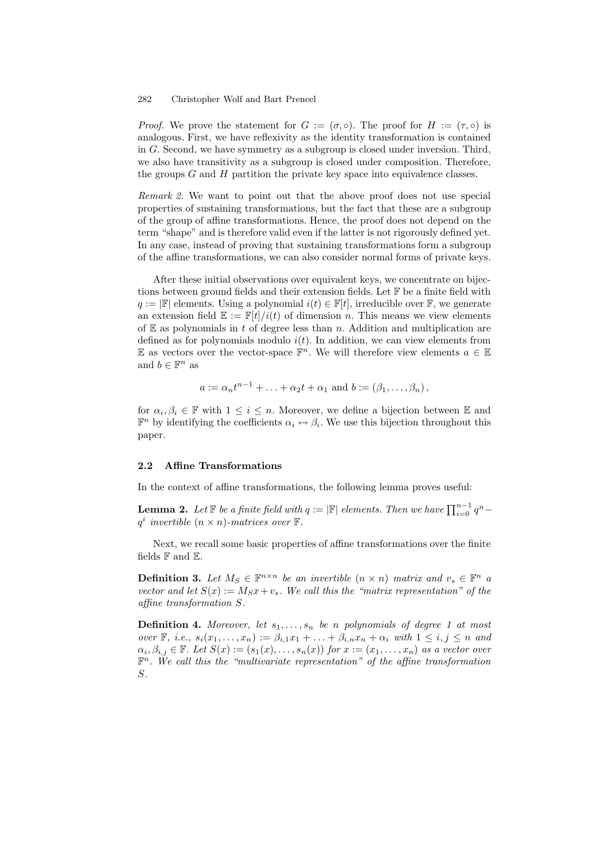*Proof.* We prove the statement for  $G := (\sigma, \circ)$ . The proof for  $H := (\tau, \circ)$  is analogous. First, we have reflexivity as the identity transformation is contained in G. Second, we have symmetry as a subgroup is closed under inversion. Third, we also have transitivity as a subgroup is closed under composition. Therefore, the groups  $G$  and  $H$  partition the private key space into equivalence classes.

Remark 2. We want to point out that the above proof does not use special properties of sustaining transformations, but the fact that these are a subgroup of the group of affine transformations. Hence, the proof does not depend on the term "shape" and is therefore valid even if the latter is not rigorously defined yet. In any case, instead of proving that sustaining transformations form a subgroup of the affine transformations, we can also consider normal forms of private keys.

After these initial observations over equivalent keys, we concentrate on bijections between ground fields and their extension fields. Let  $\mathbb F$  be a finite field with  $q := |\mathbb{F}|$  elements. Using a polynomial  $i(t) \in \mathbb{F}[t]$ , irreducible over  $\mathbb{F}$ , we generate an extension field  $\mathbb{E} := \mathbb{F}[t]/i(t)$  of dimension n. This means we view elements of  $E$  as polynomials in t of degree less than n. Addition and multiplication are defined as for polynomials modulo  $i(t)$ . In addition, we can view elements from E as vectors over the vector-space  $\mathbb{F}^n$ . We will therefore view elements  $a \in \mathbb{E}$ and  $b \in \mathbb{F}^n$  as

$$
a := \alpha_n t^{n-1} + \ldots + \alpha_2 t + \alpha_1 \text{ and } b := (\beta_1, \ldots, \beta_n),
$$

for  $\alpha_i, \beta_i \in \mathbb{F}$  with  $1 \leq i \leq n$ . Moreover, we define a bijection between  $\mathbb{E}$  and  $\mathbb{F}^n$  by identifying the coefficients  $\alpha_i \leftrightarrow \beta_i$ . We use this bijection throughout this paper.

## 2.2 Affine Transformations

In the context of affine transformations, the following lemma proves useful:

**Lemma 2.** Let  $\mathbb{F}$  be a finite field with  $q := |\mathbb{F}|$  elements. Then we have  $\prod_{i=0}^{n-1} q^n$  $q^i$  invertible  $(n \times n)$ -matrices over  $\mathbb{F}$ .

Next, we recall some basic properties of affine transformations over the finite fields  $\mathbb F$  and  $\mathbb E$ .

**Definition 3.** Let  $M_S \in \mathbb{F}^{n \times n}$  be an invertible  $(n \times n)$  matrix and  $v_s \in \mathbb{F}^n$  a vector and let  $S(x) := M_S x + v_s$ . We call this the "matrix representation" of the affine transformation S.

**Definition 4.** Moreover, let  $s_1, \ldots, s_n$  be n polynomials of degree 1 at most over  $\mathbb{F}$ , i.e.,  $s_i(x_1,\ldots,x_n) := \beta_{i,1}x_1 + \ldots + \beta_{i,n}x_n + \alpha_i$  with  $1 \leq i, j \leq n$  and  $\alpha_i, \beta_{i,j} \in \mathbb{F}$ . Let  $S(x) := (s_1(x), \ldots, s_n(x))$  for  $x := (x_1, \ldots, x_n)$  as a vector over  $\mathbb{F}^n$ . We call this the "multivariate representation" of the affine transformation S.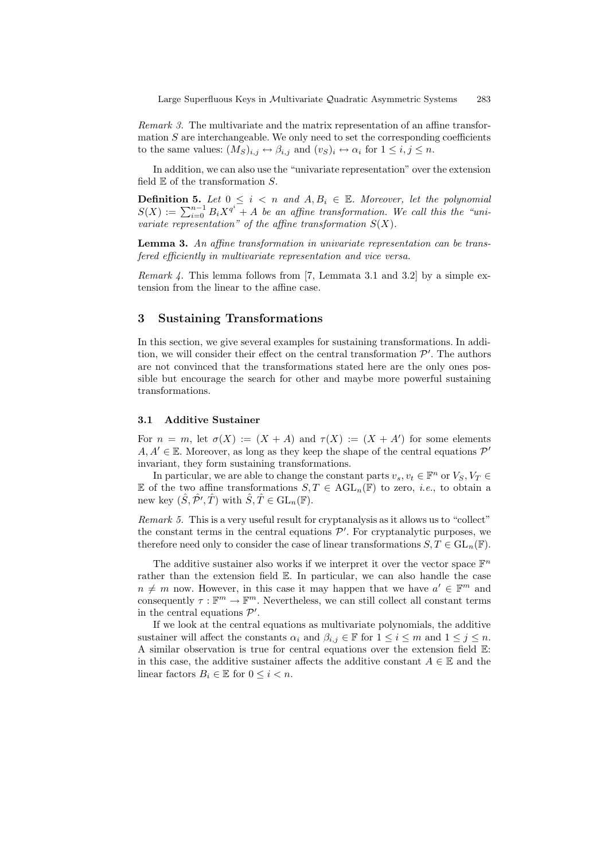Remark 3. The multivariate and the matrix representation of an affine transformation  $S$  are interchangeable. We only need to set the corresponding coefficients to the same values:  $(M_S)_{i,j} \leftrightarrow \beta_{i,j}$  and  $(v_S)_i \leftrightarrow \alpha_i$  for  $1 \leq i, j \leq n$ .

In addition, we can also use the "univariate representation" over the extension field  $E$  of the transformation  $S$ .

**Definition 5.** Let  $0 \leq i \leq n$  and  $A, B_i \in \mathbb{E}$ . Moreover, let the polynomial  $S(X) := \sum_{i=0}^{n-1} B_i X^{q^i} + A$  be an affine transformation. We call this the "univariate representation" of the affine transformation  $S(X)$ .

**Lemma 3.** An affine transformation in univariate representation can be transfered efficiently in multivariate representation and vice versa.

*Remark 4.* This lemma follows from [7, Lemmata 3.1 and 3.2] by a simple extension from the linear to the affine case.

## 3 Sustaining Transformations

In this section, we give several examples for sustaining transformations. In addition, we will consider their effect on the central transformation  $\mathcal{P}'$ . The authors are not convinced that the transformations stated here are the only ones possible but encourage the search for other and maybe more powerful sustaining transformations.

#### 3.1 Additive Sustainer

For  $n = m$ , let  $\sigma(X) := (X + A)$  and  $\tau(X) := (X + A')$  for some elements  $A, A' \in \mathbb{E}$ . Moreover, as long as they keep the shape of the central equations  $\mathcal{P}'$ invariant, they form sustaining transformations.

In particular, we are able to change the constant parts  $v_s, v_t \in \mathbb{F}^n$  or  $V_S, V_T \in$ E of the two affine transformations  $S, T \in \text{AGL}_n(\mathbb{F})$  to zero, *i.e.*, to obtain a new key  $(\hat{S}, \hat{\mathcal{P}}', \hat{T})$  with  $\hat{S}, \hat{T} \in GL_n(\mathbb{F})$ .

Remark 5. This is a very useful result for cryptanalysis as it allows us to "collect" the constant terms in the central equations  $\mathcal{P}'$ . For cryptanalytic purposes, we therefore need only to consider the case of linear transformations  $S, T \in GL_n(\mathbb{F})$ .

The additive sustainer also works if we interpret it over the vector space  $\mathbb{F}^n$ rather than the extension field E. In particular, we can also handle the case  $n \neq m$  now. However, in this case it may happen that we have  $a' \in \mathbb{F}^m$  and consequently  $\tau : \mathbb{F}^m \to \mathbb{F}^m$ . Nevertheless, we can still collect all constant terms in the central equations  $\mathcal{P}'$ .

If we look at the central equations as multivariate polynomials, the additive sustainer will affect the constants  $\alpha_i$  and  $\beta_{i,j} \in \mathbb{F}$  for  $1 \leq i \leq m$  and  $1 \leq j \leq n$ . A similar observation is true for central equations over the extension field E: in this case, the additive sustainer affects the additive constant  $A \in \mathbb{E}$  and the linear factors  $B_i \in \mathbb{E}$  for  $0 \leq i < n$ .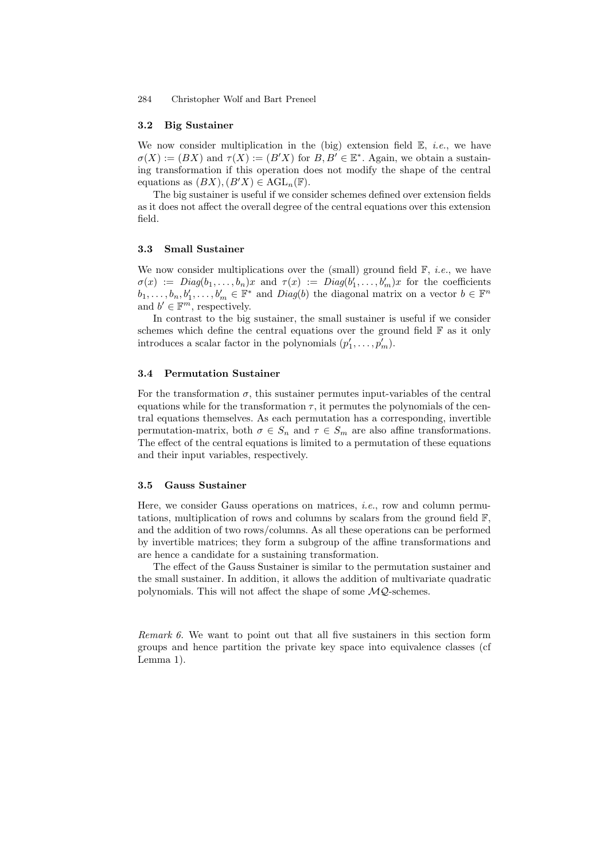#### 3.2 Big Sustainer

We now consider multiplication in the (big) extension field  $\mathbb{E}$ , *i.e.*, we have  $\sigma(X) := (BX)$  and  $\tau(X) := (B'X)$  for  $B, B' \in \mathbb{E}^*$ . Again, we obtain a sustaining transformation if this operation does not modify the shape of the central equations as  $(BX), (B'X) \in \text{AGL}_n(\mathbb{F})$ .

The big sustainer is useful if we consider schemes defined over extension fields as it does not affect the overall degree of the central equations over this extension field.

## 3.3 Small Sustainer

We now consider multiplications over the (small) ground field  $\mathbb{F}$ , *i.e.*, we have  $\sigma(x) := Diag(b_1,\ldots,b_n)x$  and  $\tau(x) := Diag(b'_1,\ldots,b'_m)x$  for the coefficients  $b_1, \ldots, b_n, b'_1, \ldots, b'_m \in \mathbb{F}^*$  and  $Diag(b)$  the diagonal matrix on a vector  $b \in \mathbb{F}^n$ and  $b' \in \mathbb{F}^m$ , respectively.

In contrast to the big sustainer, the small sustainer is useful if we consider schemes which define the central equations over the ground field  $\mathbb F$  as it only introduces a scalar factor in the polynomials  $(p'_1, \ldots, p'_m)$ .

## 3.4 Permutation Sustainer

For the transformation  $\sigma$ , this sustainer permutes input-variables of the central equations while for the transformation  $\tau$ , it permutes the polynomials of the central equations themselves. As each permutation has a corresponding, invertible permutation-matrix, both  $\sigma \in S_n$  and  $\tau \in S_m$  are also affine transformations. The effect of the central equations is limited to a permutation of these equations and their input variables, respectively.

## 3.5 Gauss Sustainer

Here, we consider Gauss operations on matrices, i.e., row and column permutations, multiplication of rows and columns by scalars from the ground field  $\mathbb{F}$ , and the addition of two rows/columns. As all these operations can be performed by invertible matrices; they form a subgroup of the affine transformations and are hence a candidate for a sustaining transformation.

The effect of the Gauss Sustainer is similar to the permutation sustainer and the small sustainer. In addition, it allows the addition of multivariate quadratic polynomials. This will not affect the shape of some  $MQ$ -schemes.

Remark 6. We want to point out that all five sustainers in this section form groups and hence partition the private key space into equivalence classes (cf Lemma 1).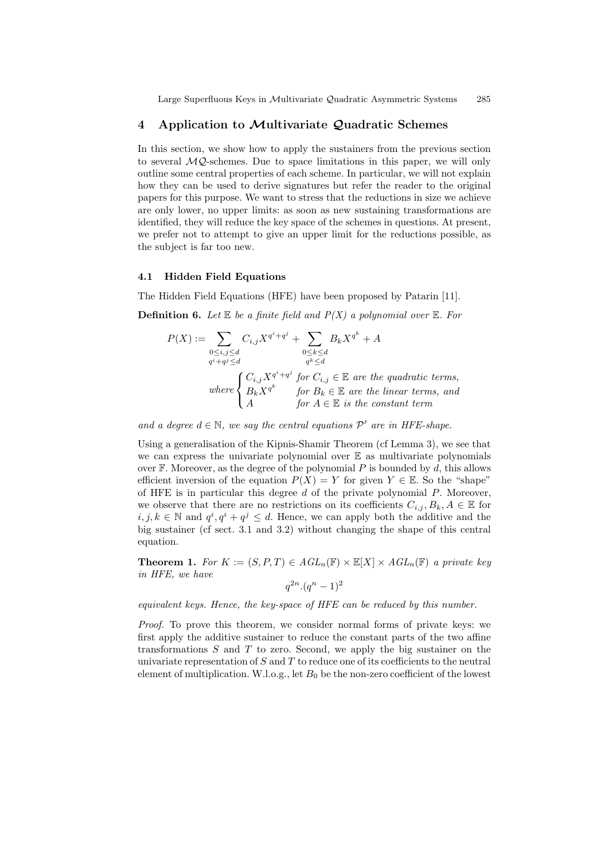## 4 Application to Multivariate Quadratic Schemes

In this section, we show how to apply the sustainers from the previous section to several  $MQ$ -schemes. Due to space limitations in this paper, we will only outline some central properties of each scheme. In particular, we will not explain how they can be used to derive signatures but refer the reader to the original papers for this purpose. We want to stress that the reductions in size we achieve are only lower, no upper limits: as soon as new sustaining transformations are identified, they will reduce the key space of the schemes in questions. At present, we prefer not to attempt to give an upper limit for the reductions possible, as the subject is far too new.

## 4.1 Hidden Field Equations

The Hidden Field Equations (HFE) have been proposed by Patarin [11].

**Definition 6.** Let  $E$  be a finite field and  $P(X)$  a polynomial over  $E$ . For

$$
P(X) := \sum_{\substack{0 \le i,j \le d \\ q^i + q^j \le d}} C_{i,j} X^{q^i + q^j} + \sum_{\substack{0 \le k \le d \\ q^k \le d}} B_k X^{q^k} + A
$$
  
\nwhere 
$$
\begin{cases} C_{i,j} X^{q^i + q^j} \text{ for } C_{i,j} \in \mathbb{E} \text{ are the quadratic terms,} \\ B_k X^{q^k} \text{ for } B_k \in \mathbb{E} \text{ are the linear terms, and} \\ A \text{ for } A \in \mathbb{E} \text{ is the constant term} \end{cases}
$$

and a degree  $d \in \mathbb{N}$ , we say the central equations  $\mathcal{P}'$  are in HFE-shape.

Using a generalisation of the Kipnis-Shamir Theorem (cf Lemma 3), we see that we can express the univariate polynomial over  $E$  as multivariate polynomials over  $\mathbb F$ . Moreover, as the degree of the polynomial P is bounded by d, this allows efficient inversion of the equation  $P(X) = Y$  for given  $Y \in \mathbb{E}$ . So the "shape" of HFE is in particular this degree  $d$  of the private polynomial  $P$ . Moreover, we observe that there are no restrictions on its coefficients  $C_{i,j}, B_k, A \in \mathbb{E}$  for  $i, j, k \in \mathbb{N}$  and  $q^{i}, q^{i} + q^{j} \leq d$ . Hence, we can apply both the additive and the big sustainer (cf sect. 3.1 and 3.2) without changing the shape of this central equation.

**Theorem 1.** For  $K := (S, P, T) \in AGL_n(\mathbb{F}) \times \mathbb{E}[X] \times AGL_n(\mathbb{F})$  a private key in HFE, we have

$$
q^{2n} \cdot (q^n - 1)^2
$$

equivalent keys. Hence, the key-space of HFE can be reduced by this number.

Proof. To prove this theorem, we consider normal forms of private keys: we first apply the additive sustainer to reduce the constant parts of the two affine transformations  $S$  and  $T$  to zero. Second, we apply the big sustainer on the univariate representation of  $S$  and  $T$  to reduce one of its coefficients to the neutral element of multiplication. W.l.o.g., let  $B_0$  be the non-zero coefficient of the lowest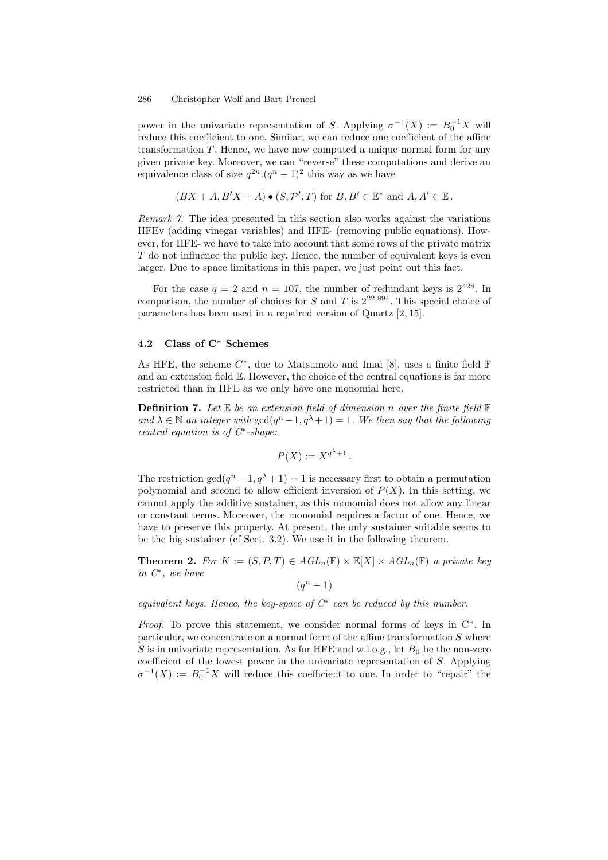power in the univariate representation of S. Applying  $\sigma^{-1}(X) := B_0^{-1}X$  will reduce this coefficient to one. Similar, we can reduce one coefficient of the affine transformation  $T$ . Hence, we have now computed a unique normal form for any given private key. Moreover, we can "reverse" these computations and derive an equivalence class of size  $q^{2n} (q^n - 1)^2$  this way as we have

$$
(BX + A, B'X + A) \bullet (S, \mathcal{P}', T)
$$
 for  $B, B' \in \mathbb{E}^*$  and  $A, A' \in \mathbb{E}$ .

Remark 7. The idea presented in this section also works against the variations HFEv (adding vinegar variables) and HFE- (removing public equations). However, for HFE- we have to take into account that some rows of the private matrix T do not influence the public key. Hence, the number of equivalent keys is even larger. Due to space limitations in this paper, we just point out this fact.

For the case  $q = 2$  and  $n = 107$ , the number of redundant keys is  $2^{428}$ . In comparison, the number of choices for S and T is  $2^{22,894}$ . This special choice of parameters has been used in a repaired version of Quartz [2, 15].

## 4.2 Class of C<sup>∗</sup> Schemes

As HFE, the scheme  $C^*$ , due to Matsumoto and Imai [8], uses a finite field  $\mathbb F$ and an extension field E. However, the choice of the central equations is far more restricted than in HFE as we only have one monomial here.

**Definition 7.** Let  $E$  be an extension field of dimension n over the finite field  $F$ and  $\lambda \in \mathbb{N}$  an integer with  $gcd(q^n-1, q^{\lambda}+1) = 1$ . We then say that the following central equation is of  $C^*$ -shape:

$$
P(X) := X^{q^{\lambda}+1}.
$$

The restriction  $gcd(q^n - 1, q^{\lambda} + 1) = 1$  is necessary first to obtain a permutation polynomial and second to allow efficient inversion of  $P(X)$ . In this setting, we cannot apply the additive sustainer, as this monomial does not allow any linear or constant terms. Moreover, the monomial requires a factor of one. Hence, we have to preserve this property. At present, the only sustainer suitable seems to be the big sustainer (cf Sect. 3.2). We use it in the following theorem.

**Theorem 2.** For  $K := (S, P, T) \in AGL_n(\mathbb{F}) \times \mathbb{E}[X] \times AGL_n(\mathbb{F})$  a private key in C ∗ , we have

$$
(q^n-1)
$$

equivalent keys. Hence, the key-space of  $C^*$  can be reduced by this number.

*Proof.* To prove this statement, we consider normal forms of keys in  $C^*$ . In particular, we concentrate on a normal form of the affine transformation  $S$  where S is in univariate representation. As for HFE and w.l.o.g., let  $B_0$  be the non-zero coefficient of the lowest power in the univariate representation of S. Applying  $\sigma^{-1}(X) := B_0^{-1}X$  will reduce this coefficient to one. In order to "repair" the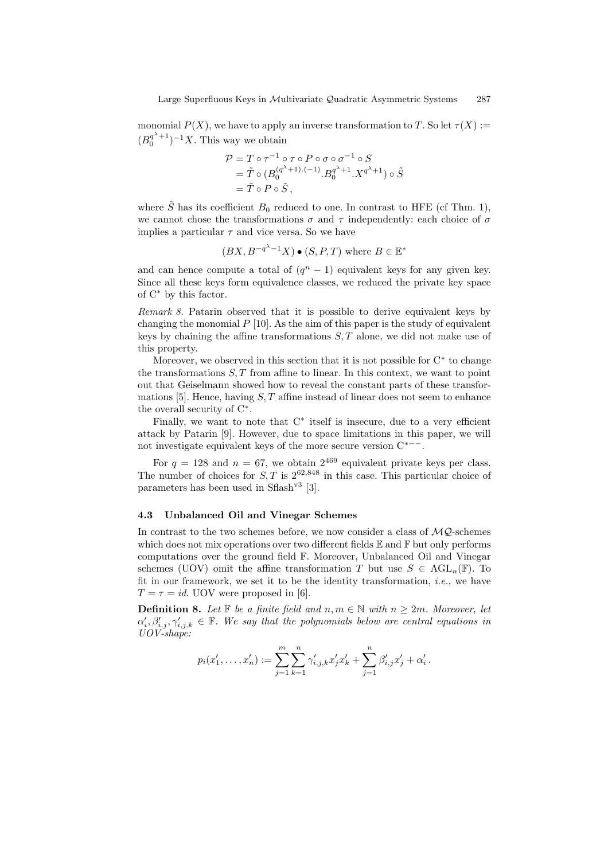monomial  $P(X)$ , we have to apply an inverse transformation to T. So let  $\tau(X) :=$  $(B_0^{q^{\lambda}+1})^{-1}X$ . This way we obtain

$$
\mathcal{P} = T \circ \tau^{-1} \circ \tau \circ P \circ \sigma \circ \sigma^{-1} \circ S
$$
  
=  $\tilde{T} \circ (B_0^{(q^{\lambda}+1)\cdot(-1)} \cdot B_0^{q^{\lambda}+1} \cdot X^{q^{\lambda}+1}) \circ \tilde{S}$   
=  $\tilde{T} \circ P \circ \tilde{S}$ ,

where  $\tilde{S}$  has its coefficient  $B_0$  reduced to one. In contrast to HFE (cf Thm. 1), we cannot chose the transformations  $\sigma$  and  $\tau$  independently: each choice of  $\sigma$ implies a particular  $\tau$  and vice versa. So we have

$$
(BX, B^{-q^{\lambda}-1}X) \bullet (S, P, T)
$$
 where  $B \in \mathbb{E}^*$ 

and can hence compute a total of  $(q<sup>n</sup> - 1)$  equivalent keys for any given key. Since all these keys form equivalence classes, we reduced the private key space of C <sup>∗</sup> by this factor.

Remark 8. Patarin observed that it is possible to derive equivalent keys by changing the monomial  $P$  [10]. As the aim of this paper is the study of equivalent keys by chaining the affine transformations  $S, T$  alone, we did not make use of this property.

Moreover, we observed in this section that it is not possible for  $C^*$  to change the transformations  $S, T$  from affine to linear. In this context, we want to point out that Geiselmann showed how to reveal the constant parts of these transformations [5]. Hence, having  $S, T$  affine instead of linear does not seem to enhance the overall security of  $C^*$ .

Finally, we want to note that  $C^*$  itself is insecure, due to a very efficient attack by Patarin [9]. However, due to space limitations in this paper, we will not investigate equivalent keys of the more secure version  $C^{*--}$ .

For  $q = 128$  and  $n = 67$ , we obtain  $2^{469}$  equivalent private keys per class. The number of choices for  $S, T$  is  $2^{62,848}$  in this case. This particular choice of parameters has been used in  $Sflash^{v3}$  [3].

#### 4.3 Unbalanced Oil and Vinegar Schemes

In contrast to the two schemes before, we now consider a class of  $MQ$ -schemes which does not mix operations over two different fields  $\mathbb E$  and  $\mathbb F$  but only performs computations over the ground field F. Moreover, Unbalanced Oil and Vinegar schemes (UOV) omit the affine transformation T but use  $S \in \text{AGL}_n(\mathbb{F})$ . To fit in our framework, we set it to be the identity transformation, *i.e.*, we have  $T = \tau = id$ . UOV were proposed in [6].

**Definition 8.** Let  $\mathbb{F}$  be a finite field and  $n, m \in \mathbb{N}$  with  $n \geq 2m$ . Moreover, let  $\alpha'_i, \beta'_{i,j}, \gamma'_{i,j,k} \in \mathbb{F}$ . We say that the polynomials below are central equations in UOV-shape:

$$
p_i(x'_1,\ldots,x'_n) := \sum_{j=1}^m \sum_{k=1}^n \gamma'_{i,j,k} x'_j x'_k + \sum_{j=1}^n \beta'_{i,j} x'_j + \alpha'_i.
$$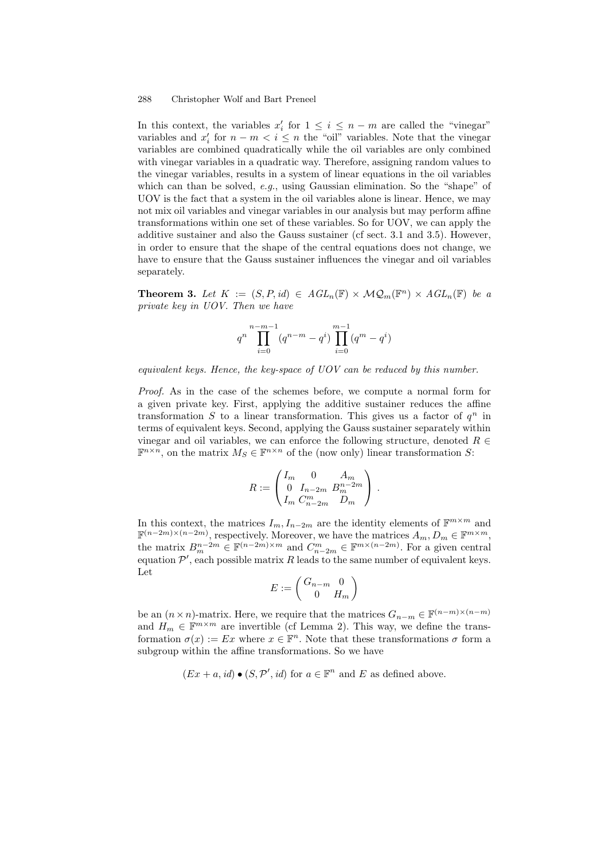In this context, the variables  $x'_i$  for  $1 \leq i \leq n-m$  are called the "vinegar" variables and  $x'_i$  for  $n - m < i \leq n$  the "oil" variables. Note that the vinegar variables are combined quadratically while the oil variables are only combined with vinegar variables in a quadratic way. Therefore, assigning random values to the vinegar variables, results in a system of linear equations in the oil variables which can than be solved, e.g., using Gaussian elimination. So the "shape" of UOV is the fact that a system in the oil variables alone is linear. Hence, we may not mix oil variables and vinegar variables in our analysis but may perform affine transformations within one set of these variables. So for UOV, we can apply the additive sustainer and also the Gauss sustainer (cf sect. 3.1 and 3.5). However, in order to ensure that the shape of the central equations does not change, we have to ensure that the Gauss sustainer influences the vinegar and oil variables separately.

**Theorem 3.** Let  $K := (S, P, id) \in AGL_n(\mathbb{F}) \times MQ_m(\mathbb{F}^n) \times AGL_n(\mathbb{F})$  be a private key in UOV. Then we have

$$
q^n\prod_{i=0}^{n-m-1}(q^{n-m}-q^i)\prod_{i=0}^{m-1}(q^m-q^i)
$$

equivalent keys. Hence, the key-space of UOV can be reduced by this number.

Proof. As in the case of the schemes before, we compute a normal form for a given private key. First, applying the additive sustainer reduces the affine transformation  $S$  to a linear transformation. This gives us a factor of  $q^n$  in terms of equivalent keys. Second, applying the Gauss sustainer separately within vinegar and oil variables, we can enforce the following structure, denoted  $R \in$  $\mathbb{F}^{n \times n}$ , on the matrix  $M_S \in \mathbb{F}^{n \times n}$  of the (now only) linear transformation S:

$$
R := \begin{pmatrix} I_m & 0 & A_m \\ 0 & I_{n-2m} & B_m^{n-2m} \\ I_m & C_{n-2m}^m & D_m \end{pmatrix}.
$$

In this context, the matrices  $I_m$ ,  $I_{n-2m}$  are the identity elements of  $\mathbb{F}^{m \times m}$  and  $\mathbb{F}^{(n-2m)\times(n-2m)}$ , respectively. Moreover, we have the matrices  $A_m, D_m \in \mathbb{F}^{m \times m}$ , the matrix  $B_m^{n-2m} \in \mathbb{F}^{(n-2m)\times m}$  and  $C_{n-2m}^m \in \mathbb{F}^{m\times (n-2m)}$ . For a given central equation  $\mathcal{P}'$ , each possible matrix R leads to the same number of equivalent keys. Let

$$
E := \begin{pmatrix} G_{n-m} & 0 \\ 0 & H_m \end{pmatrix}
$$

be an  $(n \times n)$ -matrix. Here, we require that the matrices  $G_{n-m} \in \mathbb{F}^{(n-m)\times (n-m)}$ and  $H_m \in \mathbb{F}^{m \times m}$  are invertible (cf Lemma 2). This way, we define the transformation  $\sigma(x) := E x$  where  $x \in \mathbb{F}^n$ . Note that these transformations  $\sigma$  form a subgroup within the affine transformations. So we have

$$
(Ex + a, id) \bullet (S, \mathcal{P}', id)
$$
 for  $a \in \mathbb{F}^n$  and E as defined above.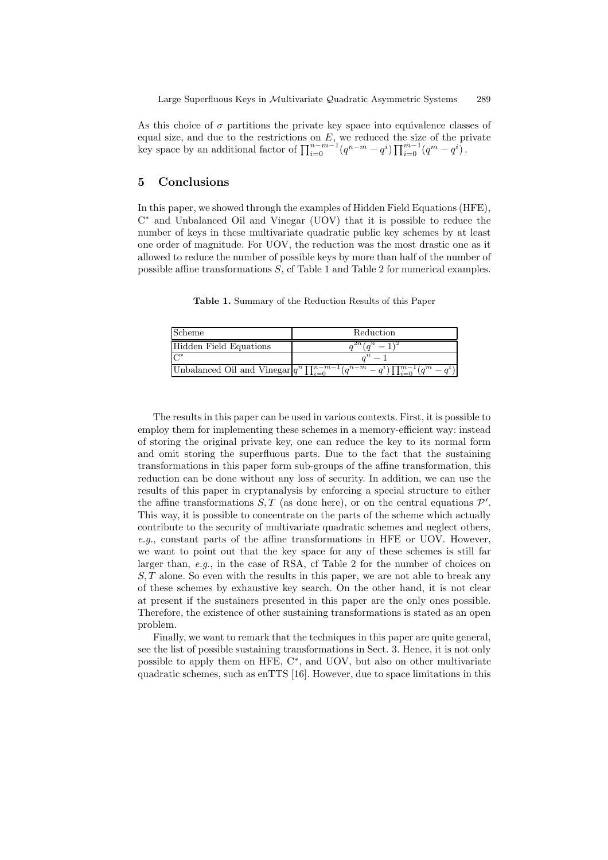As this choice of  $\sigma$  partitions the private key space into equivalence classes of equal size, and due to the restrictions on  $E$ , we reduced the size of the private key space by an additional factor of  $\prod_{i=0}^{n-m-1} (q^{n-m}-q^i) \prod_{i=0}^{m-1} (q^m-q^i)$ .

## 5 Conclusions

In this paper, we showed through the examples of Hidden Field Equations (HFE), C <sup>∗</sup> and Unbalanced Oil and Vinegar (UOV) that it is possible to reduce the number of keys in these multivariate quadratic public key schemes by at least one order of magnitude. For UOV, the reduction was the most drastic one as it allowed to reduce the number of possible keys by more than half of the number of possible affine transformations S, cf Table 1 and Table 2 for numerical examples.

Table 1. Summary of the Reduction Results of this Paper

| Scheme                    | Reduction                                                                                          |
|---------------------------|----------------------------------------------------------------------------------------------------|
| Hidden Field Equations    | $2n(a^n - 1)$                                                                                      |
| $\overline{\mathsf{A}^*}$ |                                                                                                    |
|                           | Unbalanced Oil and Vinegar $q^n \prod_{i=0}^{n-m-1} (q^{n-m} - q^i) \prod_{i=0}^{m-1} (q^m - q^i)$ |

The results in this paper can be used in various contexts. First, it is possible to employ them for implementing these schemes in a memory-efficient way: instead of storing the original private key, one can reduce the key to its normal form and omit storing the superfluous parts. Due to the fact that the sustaining transformations in this paper form sub-groups of the affine transformation, this reduction can be done without any loss of security. In addition, we can use the results of this paper in cryptanalysis by enforcing a special structure to either the affine transformations  $S, T$  (as done here), or on the central equations  $\mathcal{P}'$ . This way, it is possible to concentrate on the parts of the scheme which actually contribute to the security of multivariate quadratic schemes and neglect others, e.g., constant parts of the affine transformations in HFE or UOV. However, we want to point out that the key space for any of these schemes is still far larger than, e.g., in the case of RSA, cf Table 2 for the number of choices on  $S, T$  alone. So even with the results in this paper, we are not able to break any of these schemes by exhaustive key search. On the other hand, it is not clear at present if the sustainers presented in this paper are the only ones possible. Therefore, the existence of other sustaining transformations is stated as an open problem.

Finally, we want to remark that the techniques in this paper are quite general, see the list of possible sustaining transformations in Sect. 3. Hence, it is not only possible to apply them on HFE, C<sup>\*</sup>, and UOV, but also on other multivariate quadratic schemes, such as enTTS [16]. However, due to space limitations in this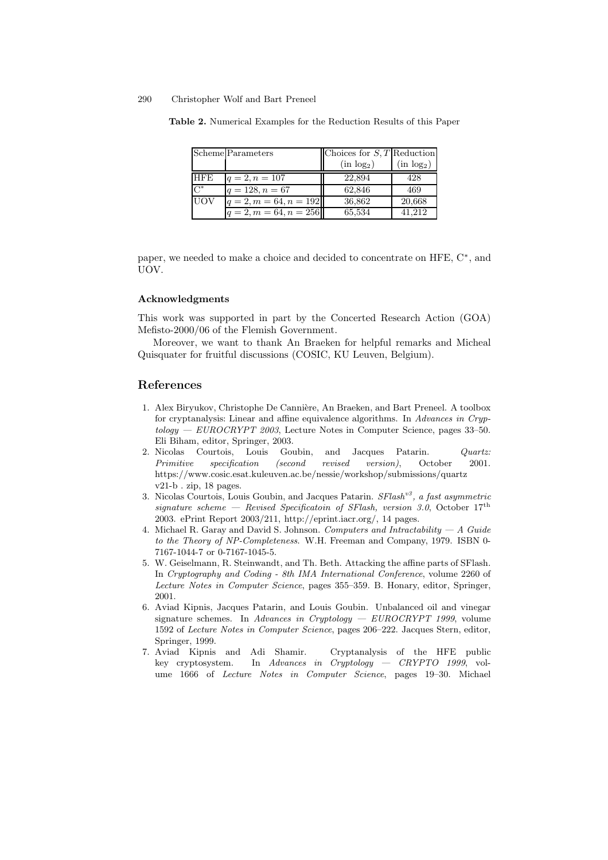|            | Scheme Parameters        | Choices for $S, T$ Reduction |                        |
|------------|--------------------------|------------------------------|------------------------|
|            |                          | (in log <sub>2</sub> )       | (in log <sub>2</sub> ) |
| <b>HFE</b> | $q=2, n=107$             | 22.894                       | 428                    |
| $C^*$      | $q = 128, n = 67$        | 62.846                       | 469                    |
| <b>UOV</b> | $q = 2, m = 64, n = 192$ | 36,862                       | 20,668                 |
|            | $q = 2, m = 64, n = 256$ | 65,534                       | 41.212                 |

Table 2. Numerical Examples for the Reduction Results of this Paper

paper, we needed to make a choice and decided to concentrate on HFE, C<sup>\*</sup>, and UOV.

## Acknowledgments

This work was supported in part by the Concerted Research Action (GOA) Mefisto-2000/06 of the Flemish Government.

Moreover, we want to thank An Braeken for helpful remarks and Micheal Quisquater for fruitful discussions (COSIC, KU Leuven, Belgium).

## References

- 1. Alex Biryukov, Christophe De Cannière, An Braeken, and Bart Preneel. A toolbox for cryptanalysis: Linear and affine equivalence algorithms. In Advances in Cryp $tology - EUROCRYPT 2003$ , Lecture Notes in Computer Science, pages 33-50. Eli Biham, editor, Springer, 2003.
- 2. Nicolas Courtois, Louis Goubin, and Jacques Patarin. Quartz: Primitive specification (second revised version), October 2001. https://www.cosic.esat.kuleuven.ac.be/nessie/workshop/submissions/quartz v21-b . zip, 18 pages.
- 3. Nicolas Courtois, Louis Goubin, and Jacques Patarin.  $SFlash^{v3}$ , a fast asymmetric signature scheme – Revised Specificatoin of SFlash, version 3.0, October  $17<sup>th</sup>$ 2003. ePrint Report 2003/211, http://eprint.iacr.org/, 14 pages.
- 4. Michael R. Garay and David S. Johnson. Computers and Intractability  $-A$  Guide to the Theory of NP-Completeness. W.H. Freeman and Company, 1979. ISBN 0- 7167-1044-7 or 0-7167-1045-5.
- 5. W. Geiselmann, R. Steinwandt, and Th. Beth. Attacking the affine parts of SFlash. In Cryptography and Coding - 8th IMA International Conference, volume 2260 of Lecture Notes in Computer Science, pages 355–359. B. Honary, editor, Springer, 2001.
- 6. Aviad Kipnis, Jacques Patarin, and Louis Goubin. Unbalanced oil and vinegar signature schemes. In Advances in Cryptology  $-$  EUROCRYPT 1999, volume 1592 of Lecture Notes in Computer Science, pages 206–222. Jacques Stern, editor, Springer, 1999.
- 7. Aviad Kipnis and Adi Shamir. Cryptanalysis of the HFE public key cryptosystem. In Advances in Cryptology — CRYPTO 1999, volume 1666 of Lecture Notes in Computer Science, pages 19–30. Michael